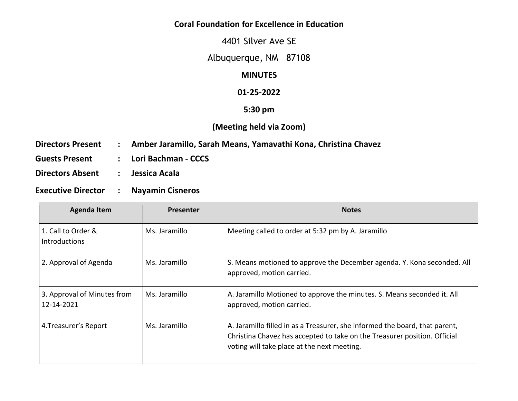## **Coral Foundation for Excellence in Education**

4401 Silver Ave SE

Albuquerque, NM 87108

# **MINUTES**

#### **01-25-2022**

## **5:30 pm**

# **(Meeting held via Zoom)**

- **Directors Present : Amber Jaramillo, Sarah Means, Yamavathi Kona, Christina Chavez**
- **Guests Present : Lori Bachman - CCCS**
- **Directors Absent : Jessica Acala**
- **Executive Director : Nayamin Cisneros**

| <b>Agenda Item</b>                         | <b>Presenter</b> | <b>Notes</b>                                                                                                                                                                                            |
|--------------------------------------------|------------------|---------------------------------------------------------------------------------------------------------------------------------------------------------------------------------------------------------|
| 1. Call to Order &<br><b>Introductions</b> | Ms. Jaramillo    | Meeting called to order at 5:32 pm by A. Jaramillo                                                                                                                                                      |
| 2. Approval of Agenda                      | Ms. Jaramillo    | S. Means motioned to approve the December agenda. Y. Kona seconded. All<br>approved, motion carried.                                                                                                    |
| 3. Approval of Minutes from<br>12-14-2021  | Ms. Jaramillo    | A. Jaramillo Motioned to approve the minutes. S. Means seconded it. All<br>approved, motion carried.                                                                                                    |
| 4. Treasurer's Report                      | Ms. Jaramillo    | A. Jaramillo filled in as a Treasurer, she informed the board, that parent,<br>Christina Chavez has accepted to take on the Treasurer position. Official<br>voting will take place at the next meeting. |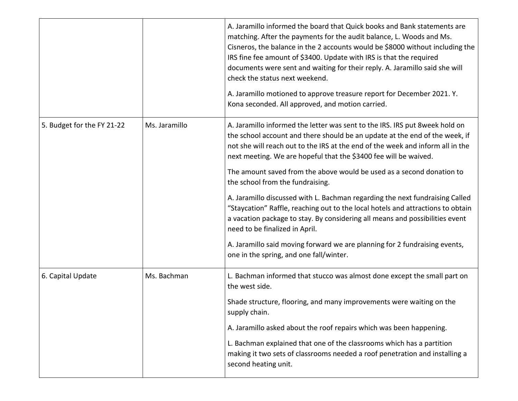|                            |               | A. Jaramillo informed the board that Quick books and Bank statements are<br>matching. After the payments for the audit balance, L. Woods and Ms.<br>Cisneros, the balance in the 2 accounts would be \$8000 without including the<br>IRS fine fee amount of \$3400. Update with IRS is that the required<br>documents were sent and waiting for their reply. A. Jaramillo said she will<br>check the status next weekend.<br>A. Jaramillo motioned to approve treasure report for December 2021. Y.<br>Kona seconded. All approved, and motion carried. |
|----------------------------|---------------|---------------------------------------------------------------------------------------------------------------------------------------------------------------------------------------------------------------------------------------------------------------------------------------------------------------------------------------------------------------------------------------------------------------------------------------------------------------------------------------------------------------------------------------------------------|
| 5. Budget for the FY 21-22 | Ms. Jaramillo | A. Jaramillo informed the letter was sent to the IRS. IRS put 8week hold on<br>the school account and there should be an update at the end of the week, if<br>not she will reach out to the IRS at the end of the week and inform all in the<br>next meeting. We are hopeful that the \$3400 fee will be waived.                                                                                                                                                                                                                                        |
|                            |               | The amount saved from the above would be used as a second donation to<br>the school from the fundraising.                                                                                                                                                                                                                                                                                                                                                                                                                                               |
|                            |               | A. Jaramillo discussed with L. Bachman regarding the next fundraising Called<br>"Staycation" Raffle, reaching out to the local hotels and attractions to obtain<br>a vacation package to stay. By considering all means and possibilities event<br>need to be finalized in April.                                                                                                                                                                                                                                                                       |
|                            |               | A. Jaramillo said moving forward we are planning for 2 fundraising events,<br>one in the spring, and one fall/winter.                                                                                                                                                                                                                                                                                                                                                                                                                                   |
| 6. Capital Update          | Ms. Bachman   | L. Bachman informed that stucco was almost done except the small part on<br>the west side.                                                                                                                                                                                                                                                                                                                                                                                                                                                              |
|                            |               | Shade structure, flooring, and many improvements were waiting on the<br>supply chain.                                                                                                                                                                                                                                                                                                                                                                                                                                                                   |
|                            |               | A. Jaramillo asked about the roof repairs which was been happening.                                                                                                                                                                                                                                                                                                                                                                                                                                                                                     |
|                            |               | L. Bachman explained that one of the classrooms which has a partition<br>making it two sets of classrooms needed a roof penetration and installing a<br>second heating unit.                                                                                                                                                                                                                                                                                                                                                                            |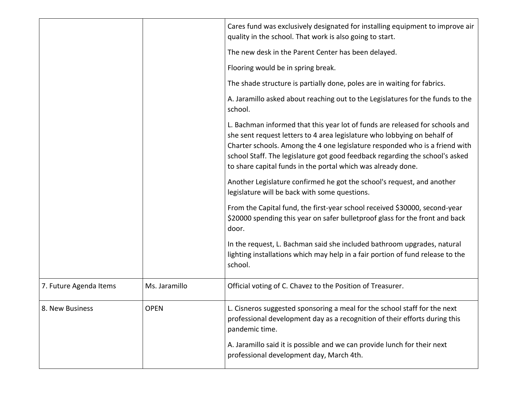|                        |               | Cares fund was exclusively designated for installing equipment to improve air<br>quality in the school. That work is also going to start.                                                                                                                                                                                                                                               |
|------------------------|---------------|-----------------------------------------------------------------------------------------------------------------------------------------------------------------------------------------------------------------------------------------------------------------------------------------------------------------------------------------------------------------------------------------|
|                        |               | The new desk in the Parent Center has been delayed.                                                                                                                                                                                                                                                                                                                                     |
|                        |               | Flooring would be in spring break.                                                                                                                                                                                                                                                                                                                                                      |
|                        |               | The shade structure is partially done, poles are in waiting for fabrics.                                                                                                                                                                                                                                                                                                                |
|                        |               | A. Jaramillo asked about reaching out to the Legislatures for the funds to the<br>school.                                                                                                                                                                                                                                                                                               |
|                        |               | L. Bachman informed that this year lot of funds are released for schools and<br>she sent request letters to 4 area legislature who lobbying on behalf of<br>Charter schools. Among the 4 one legislature responded who is a friend with<br>school Staff. The legislature got good feedback regarding the school's asked<br>to share capital funds in the portal which was already done. |
|                        |               | Another Legislature confirmed he got the school's request, and another<br>legislature will be back with some questions.                                                                                                                                                                                                                                                                 |
|                        |               | From the Capital fund, the first-year school received \$30000, second-year<br>\$20000 spending this year on safer bulletproof glass for the front and back<br>door.                                                                                                                                                                                                                     |
|                        |               | In the request, L. Bachman said she included bathroom upgrades, natural<br>lighting installations which may help in a fair portion of fund release to the<br>school.                                                                                                                                                                                                                    |
| 7. Future Agenda Items | Ms. Jaramillo | Official voting of C. Chavez to the Position of Treasurer.                                                                                                                                                                                                                                                                                                                              |
| 8. New Business        | <b>OPEN</b>   | L. Cisneros suggested sponsoring a meal for the school staff for the next<br>professional development day as a recognition of their efforts during this<br>pandemic time.                                                                                                                                                                                                               |
|                        |               | A. Jaramillo said it is possible and we can provide lunch for their next<br>professional development day, March 4th.                                                                                                                                                                                                                                                                    |